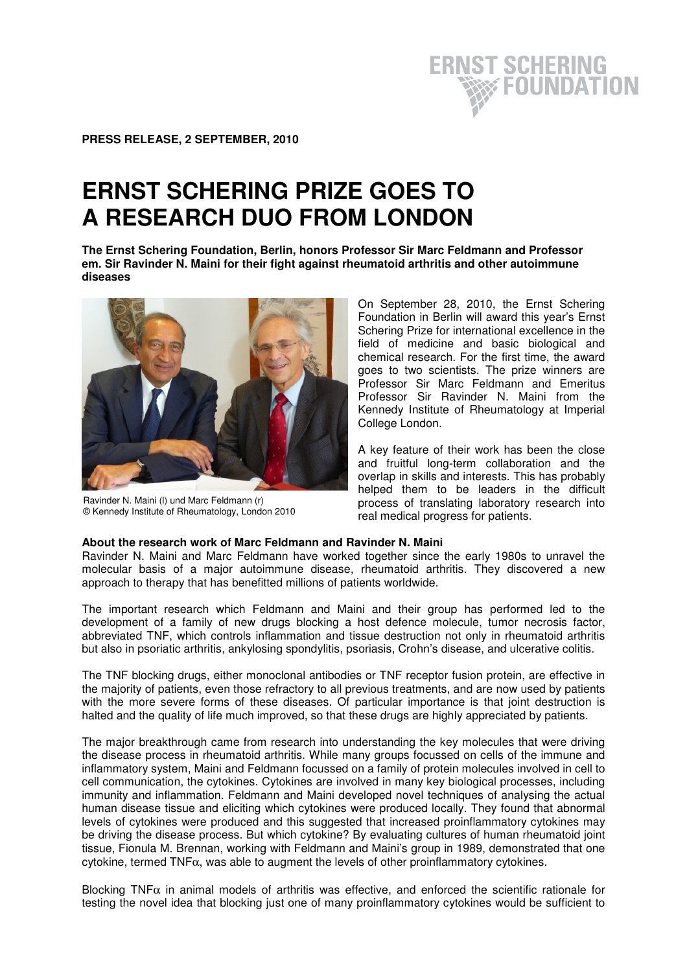

# **ERNST SCHERING PRIZE GOES TO A RESEARCH DUO FROM LONDON**

**The Ernst Schering Foundation, Berlin, honors Professor Sir Marc Feldmann and Professor em. Sir Ravinder N. Maini for their fight against rheumatoid arthritis and other autoimmune diseases** 



Ravinder N. Maini (l) und Marc Feldmann (r) © Kennedy Institute of Rheumatology, London 2010

On September 28, 2010, the Ernst Schering Foundation in Berlin will award this year's Ernst Schering Prize for international excellence in the field of medicine and basic biological and chemical research. For the first time, the award goes to two scientists. The prize winners are Professor Sir Marc Feldmann and Emeritus Professor Sir Ravinder N. Maini from the Kennedy Institute of Rheumatology at Imperial College London.

**ERNST SCHERING** 

**EQUNDATION** 

A key feature of their work has been the close and fruitful long-term collaboration and the overlap in skills and interests. This has probably helped them to be leaders in the difficult process of translating laboratory research into real medical progress for patients.

# **About the research work of Marc Feldmann and Ravinder N. Maini**

Ravinder N. Maini and Marc Feldmann have worked together since the early 1980s to unravel the molecular basis of a major autoimmune disease, rheumatoid arthritis. They discovered a new approach to therapy that has benefitted millions of patients worldwide.

The important research which Feldmann and Maini and their group has performed led to the development of a family of new drugs blocking a host defence molecule, tumor necrosis factor, abbreviated TNF, which controls inflammation and tissue destruction not only in rheumatoid arthritis but also in psoriatic arthritis, ankylosing spondylitis, psoriasis, Crohn's disease, and ulcerative colitis.

The TNF blocking drugs, either monoclonal antibodies or TNF receptor fusion protein, are effective in the majority of patients, even those refractory to all previous treatments, and are now used by patients with the more severe forms of these diseases. Of particular importance is that joint destruction is halted and the quality of life much improved, so that these drugs are highly appreciated by patients.

The major breakthrough came from research into understanding the key molecules that were driving the disease process in rheumatoid arthritis. While many groups focussed on cells of the immune and inflammatory system, Maini and Feldmann focussed on a family of protein molecules involved in cell to cell communication, the cytokines. Cytokines are involved in many key biological processes, including immunity and inflammation. Feldmann and Maini developed novel techniques of analysing the actual human disease tissue and eliciting which cytokines were produced locally. They found that abnormal levels of cytokines were produced and this suggested that increased proinflammatory cytokines may be driving the disease process. But which cytokine? By evaluating cultures of human rheumatoid joint tissue, Fionula M. Brennan, working with Feldmann and Maini's group in 1989, demonstrated that one cytokine, termed  $TNF\alpha$ , was able to augment the levels of other proinflammatory cytokines.

Blocking TNF $\alpha$  in animal models of arthritis was effective, and enforced the scientific rationale for testing the novel idea that blocking just one of many proinflammatory cytokines would be sufficient to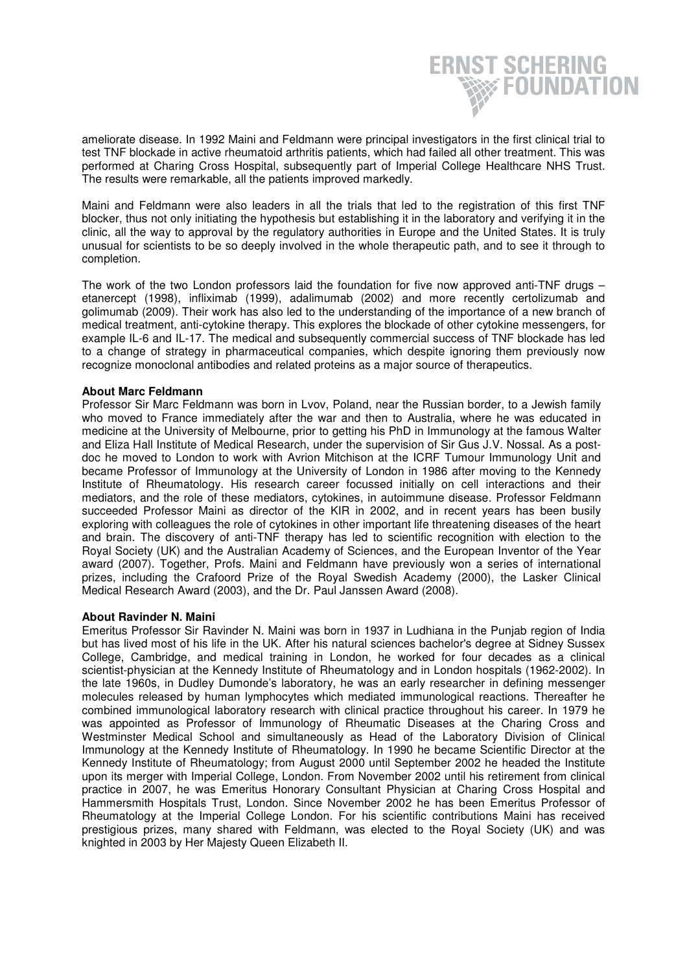

**ERNST SCHERING** 

**EQUNDATION** 

Maini and Feldmann were also leaders in all the trials that led to the registration of this first TNF blocker, thus not only initiating the hypothesis but establishing it in the laboratory and verifying it in the clinic, all the way to approval by the regulatory authorities in Europe and the United States. It is truly unusual for scientists to be so deeply involved in the whole therapeutic path, and to see it through to completion.

The work of the two London professors laid the foundation for five now approved anti-TNF drugs – etanercept (1998), infliximab (1999), adalimumab (2002) and more recently certolizumab and golimumab (2009). Their work has also led to the understanding of the importance of a new branch of medical treatment, anti-cytokine therapy. This explores the blockade of other cytokine messengers, for example IL-6 and IL-17. The medical and subsequently commercial success of TNF blockade has led to a change of strategy in pharmaceutical companies, which despite ignoring them previously now recognize monoclonal antibodies and related proteins as a major source of therapeutics.

#### **About Marc Feldmann**

Professor Sir Marc Feldmann was born in Lvov, Poland, near the Russian border, to a Jewish family who moved to France immediately after the war and then to Australia, where he was educated in medicine at the University of Melbourne, prior to getting his PhD in Immunology at the famous Walter and Eliza Hall Institute of Medical Research, under the supervision of Sir Gus J.V. Nossal. As a postdoc he moved to London to work with Avrion Mitchison at the ICRF Tumour Immunology Unit and became Professor of Immunology at the University of London in 1986 after moving to the Kennedy Institute of Rheumatology. His research career focussed initially on cell interactions and their mediators, and the role of these mediators, cytokines, in autoimmune disease. Professor Feldmann succeeded Professor Maini as director of the KIR in 2002, and in recent years has been busily exploring with colleagues the role of cytokines in other important life threatening diseases of the heart and brain. The discovery of anti-TNF therapy has led to scientific recognition with election to the Royal Society (UK) and the Australian Academy of Sciences, and the European Inventor of the Year award (2007). Together, Profs. Maini and Feldmann have previously won a series of international prizes, including the Crafoord Prize of the Royal Swedish Academy (2000), the Lasker Clinical Medical Research Award (2003), and the Dr. Paul Janssen Award (2008).

#### **About Ravinder N. Maini**

Emeritus Professor Sir Ravinder N. Maini was born in 1937 in Ludhiana in the Punjab region of India but has lived most of his life in the UK. After his natural sciences bachelor's degree at Sidney Sussex College, Cambridge, and medical training in London, he worked for four decades as a clinical scientist-physician at the Kennedy Institute of Rheumatology and in London hospitals (1962-2002). In the late 1960s, in Dudley Dumonde's laboratory, he was an early researcher in defining messenger molecules released by human lymphocytes which mediated immunological reactions. Thereafter he combined immunological laboratory research with clinical practice throughout his career. In 1979 he was appointed as Professor of Immunology of Rheumatic Diseases at the Charing Cross and Westminster Medical School and simultaneously as Head of the Laboratory Division of Clinical Immunology at the Kennedy Institute of Rheumatology. In 1990 he became Scientific Director at the Kennedy Institute of Rheumatology; from August 2000 until September 2002 he headed the Institute upon its merger with Imperial College, London. From November 2002 until his retirement from clinical practice in 2007, he was Emeritus Honorary Consultant Physician at Charing Cross Hospital and Hammersmith Hospitals Trust, London. Since November 2002 he has been Emeritus Professor of Rheumatology at the Imperial College London. For his scientific contributions Maini has received prestigious prizes, many shared with Feldmann, was elected to the Royal Society (UK) and was knighted in 2003 by Her Majesty Queen Elizabeth II.